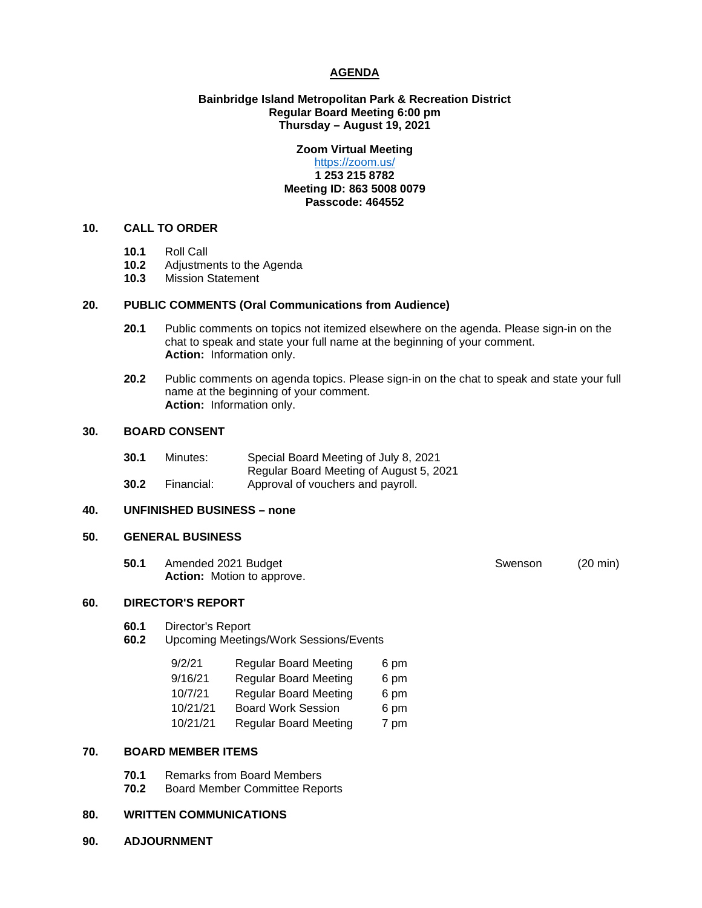# **AGENDA**

# **Bainbridge Island Metropolitan Park & Recreation District Regular Board Meeting 6:00 pm Thursday – August 19, 2021**

# **Zoom Virtual Meeting**

# <https://zoom.us/> **1 253 215 8782 Meeting ID: 863 5008 0079 Passcode: 464552**

# **10. CALL TO ORDER**

- **10.1** Roll Call
- 10.2 Adjustments to the Agenda<br>10.3 Mission Statement
- **10.3** Mission Statement

#### **20. PUBLIC COMMENTS (Oral Communications from Audience)**

- **20.1** Public comments on topics not itemized elsewhere on the agenda. Please sign-in on the chat to speak and state your full name at the beginning of your comment. **Action:** Information only.
- **20.2** Public comments on agenda topics. Please sign-in on the chat to speak and state your full name at the beginning of your comment. **Action:** Information only.

# **30. BOARD CONSENT**

| 30.1 | Minutes:   | Special Board Meeting of July 8, 2021   |
|------|------------|-----------------------------------------|
|      |            | Regular Board Meeting of August 5, 2021 |
| 30.2 | Financial: | Approval of vouchers and payroll.       |

# **40. UNFINISHED BUSINESS – none**

# **50. GENERAL BUSINESS**

**50.1** Amended 2021 Budget Swenson (20 min) **Action:** Motion to approve.

#### **60. DIRECTOR'S REPORT**

- **60.1** Director's Report
- **60.2** Upcoming Meetings/Work Sessions/Events

| 9/2/21   | <b>Regular Board Meeting</b> | 6 pm |
|----------|------------------------------|------|
| 9/16/21  | <b>Regular Board Meeting</b> | 6 pm |
| 10/7/21  | <b>Regular Board Meeting</b> | 6 pm |
| 10/21/21 | <b>Board Work Session</b>    | 6 pm |
| 10/21/21 | <b>Regular Board Meeting</b> | 7 pm |

## **70. BOARD MEMBER ITEMS**

- **70.1** Remarks from Board Members<br>**70.2** Board Member Committee Rep
- **70.2** Board Member Committee Reports

#### **80. WRITTEN COMMUNICATIONS**

**90. ADJOURNMENT**